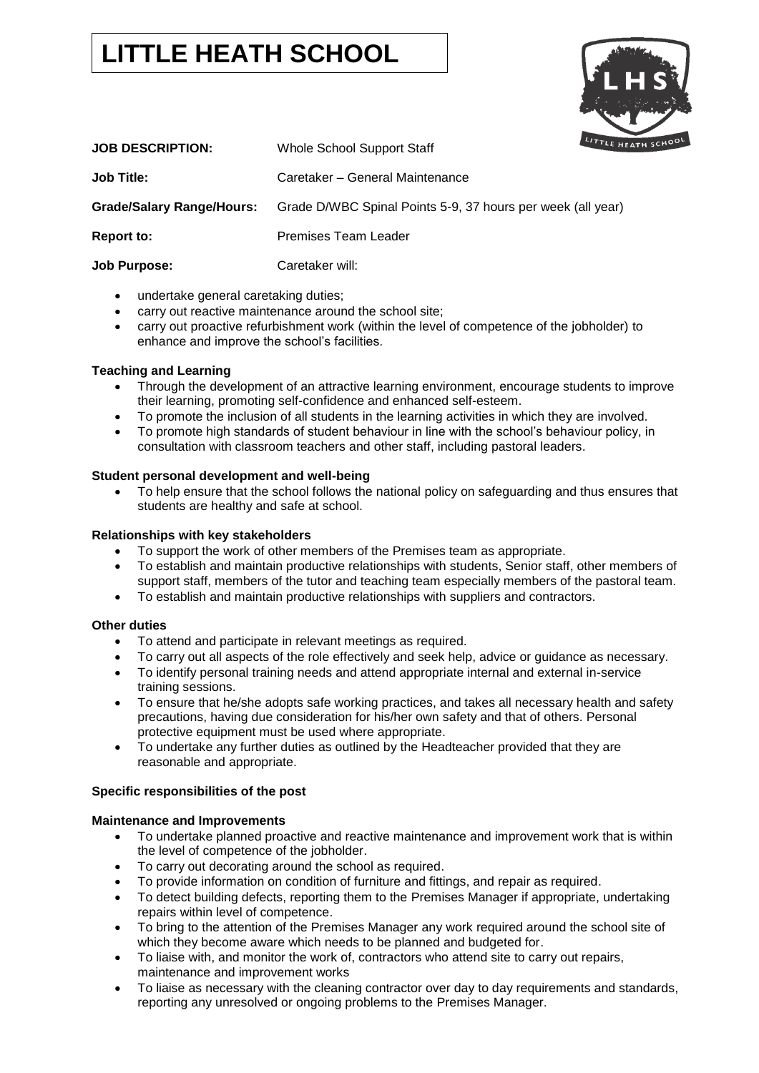# **LITTLE HEATH SCHOOL**



| <b>JOB DESCRIPTION:</b>          | Whole School Support Staff                                  | LITTLE HEATH |
|----------------------------------|-------------------------------------------------------------|--------------|
| <b>Job Title:</b>                | Caretaker – General Maintenance                             |              |
| <b>Grade/Salary Range/Hours:</b> | Grade D/WBC Spinal Points 5-9, 37 hours per week (all year) |              |
| <b>Report to:</b>                | <b>Premises Team Leader</b>                                 |              |
| <b>Job Purpose:</b>              | Caretaker will:                                             |              |

- undertake general caretaking duties;
- carry out reactive maintenance around the school site;
- carry out proactive refurbishment work (within the level of competence of the jobholder) to enhance and improve the school's facilities.

## **Teaching and Learning**

- Through the development of an attractive learning environment, encourage students to improve their learning, promoting self-confidence and enhanced self-esteem.
- To promote the inclusion of all students in the learning activities in which they are involved.
- To promote high standards of student behaviour in line with the school's behaviour policy, in consultation with classroom teachers and other staff, including pastoral leaders.

## **Student personal development and well-being**

• To help ensure that the school follows the national policy on safeguarding and thus ensures that students are healthy and safe at school.

## **Relationships with key stakeholders**

- To support the work of other members of the Premises team as appropriate.
- To establish and maintain productive relationships with students, Senior staff, other members of support staff, members of the tutor and teaching team especially members of the pastoral team.
- To establish and maintain productive relationships with suppliers and contractors.

## **Other duties**

- To attend and participate in relevant meetings as required.
- To carry out all aspects of the role effectively and seek help, advice or guidance as necessary.
- To identify personal training needs and attend appropriate internal and external in-service training sessions.
- To ensure that he/she adopts safe working practices, and takes all necessary health and safety precautions, having due consideration for his/her own safety and that of others. Personal protective equipment must be used where appropriate.
- To undertake any further duties as outlined by the Headteacher provided that they are reasonable and appropriate.

## **Specific responsibilities of the post**

## **Maintenance and Improvements**

- To undertake planned proactive and reactive maintenance and improvement work that is within the level of competence of the jobholder.
- To carry out decorating around the school as required.
- To provide information on condition of furniture and fittings, and repair as required.
- To detect building defects, reporting them to the Premises Manager if appropriate, undertaking repairs within level of competence.
- To bring to the attention of the Premises Manager any work required around the school site of which they become aware which needs to be planned and budgeted for.
- To liaise with, and monitor the work of, contractors who attend site to carry out repairs, maintenance and improvement works
- To liaise as necessary with the cleaning contractor over day to day requirements and standards, reporting any unresolved or ongoing problems to the Premises Manager.